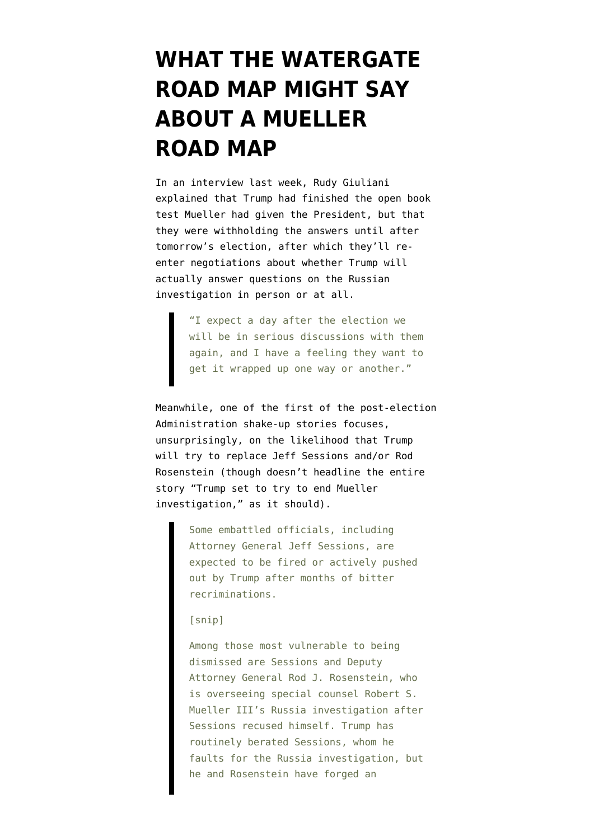# **[WHAT THE WATERGATE](https://www.emptywheel.net/2018/11/05/what-the-watergate-road-map-might-say-about-a-mueller-road-map/) [ROAD MAP MIGHT SAY](https://www.emptywheel.net/2018/11/05/what-the-watergate-road-map-might-say-about-a-mueller-road-map/) [ABOUT A MUELLER](https://www.emptywheel.net/2018/11/05/what-the-watergate-road-map-might-say-about-a-mueller-road-map/) [ROAD MAP](https://www.emptywheel.net/2018/11/05/what-the-watergate-road-map-might-say-about-a-mueller-road-map/)**

In an [interview](https://www.bloomberg.com/news/articles/2018-10-29/trump-may-answer-mueller-queries-post-election-giuliani-says) last week, Rudy Giuliani explained that Trump had finished the [open book](https://www.emptywheel.net/2018/10/12/trumps-open-book-test-still-poses-a-big-perjury-risk/) [test](https://www.emptywheel.net/2018/10/12/trumps-open-book-test-still-poses-a-big-perjury-risk/) Mueller had given the President, but that they were withholding the answers until after tomorrow's election, after which they'll reenter negotiations about whether Trump will actually answer questions on the Russian investigation in person or at all.

> "I expect a day after the election we will be in serious discussions with them again, and I have a feeling they want to get it wrapped up one way or another."

Meanwhile, one of the first of the [post-election](https://www.washingtonpost.com/politics/trump-administration-prepares-for-massive-shake-up-after-midterms/2018/11/04/dd6ad432-dded-11e8-b732-3c72cbf131f2_story.html) [Administration shake-up stories](https://www.washingtonpost.com/politics/trump-administration-prepares-for-massive-shake-up-after-midterms/2018/11/04/dd6ad432-dded-11e8-b732-3c72cbf131f2_story.html) focuses, unsurprisingly, on the likelihood that Trump will try to replace Jeff Sessions and/or Rod Rosenstein (though doesn't headline the entire story "Trump set to try to end Mueller investigation," as it should).

> Some embattled officials, including Attorney General Jeff Sessions, are expected to be fired or actively pushed out by Trump after months of bitter recriminations.

#### [snip]

Among those most vulnerable to being dismissed are Sessions and Deputy Attorney General Rod J. Rosenstein, who is overseeing special counsel Robert S. Mueller III's Russia investigation after Sessions recused himself. Trump has routinely berated Sessions, whom he faults for the Russia investigation, but he and Rosenstein have forged an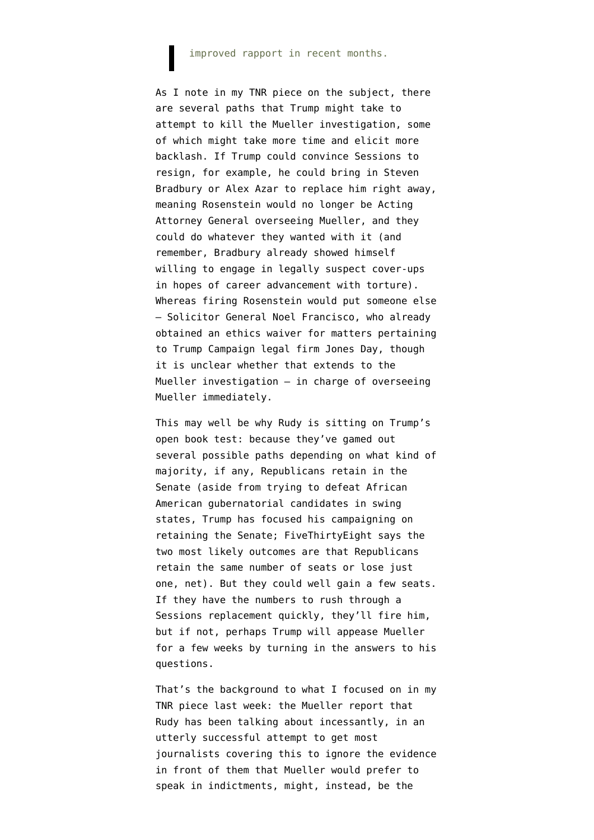#### improved rapport in recent months.

As I note in my [TNR piece on the subject,](https://newrepublic.com/article/151929/trump-fires-mueller) there are several paths that Trump might take to attempt to kill the Mueller investigation, some of which might take more time and elicit more backlash. If Trump could convince Sessions to resign, for example, he could bring in Steven Bradbury or Alex Azar to replace him right away, meaning Rosenstein would no longer be Acting Attorney General overseeing Mueller, and they could do whatever they wanted with it (and remember, Bradbury already showed himself willing to engage in legally suspect cover-ups in hopes of career advancement with torture). Whereas firing Rosenstein would put someone else — Solicitor General Noel Francisco, who already [obtained an ethics waiver](https://www.citizensforethics.org/crew-discovers-previously-undisclosed-ethics-waiver-for-solicitor-general-noel-francisco/) for matters pertaining to Trump Campaign legal firm Jones Day, though it is unclear whether that extends to the Mueller investigation — in charge of overseeing Mueller immediately.

This may well be why Rudy is sitting on Trump's open book test: because they've gamed out several possible paths depending on what kind of majority, if any, Republicans retain in the Senate (aside from trying to defeat African American gubernatorial candidates in swing states, Trump has focused his campaigning on retaining the Senate; [FiveThirtyEight says](https://projects.fivethirtyeight.com/2018-midterm-election-forecast/senate/?ex_cid=midterms-header) the two most likely outcomes are that Republicans retain the same number of seats or lose just one, net). But they could well gain a few seats. If they have the numbers to rush through a Sessions replacement quickly, they'll fire him, but if not, perhaps Trump will appease Mueller for a few weeks by turning in the answers to his questions.

That's the background to what I focused on in [my](https://newrepublic.com/article/151929/trump-fires-mueller) [TNR piece](https://newrepublic.com/article/151929/trump-fires-mueller) last week: the Mueller report that Rudy has been talking about incessantly, in an utterly successful attempt to get most journalists covering this to ignore the evidence in front of them that Mueller would prefer to speak in indictments, might, instead, be the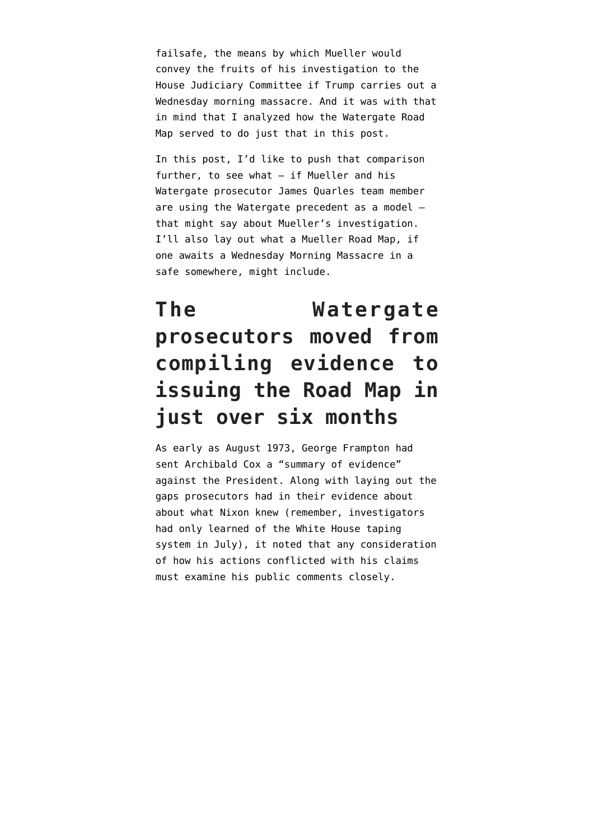failsafe, the means by which Mueller would convey the fruits of his investigation to the House Judiciary Committee if Trump carries out a Wednesday morning massacre. And it was with that in mind that I analyzed how the Watergate Road Map served to do just that [in this post.](https://www.emptywheel.net/2018/11/03/a-roadmap-to-the-nixon-and-or-mueller-roadmap/)

In this post, I'd like to push that comparison further, to see what — if Mueller and his Watergate prosecutor James Quarles team member are using the Watergate precedent as a model that might say about Mueller's investigation. I'll also lay out what a Mueller Road Map, if one awaits a Wednesday Morning Massacre in a safe somewhere, might include.

### **The Watergate prosecutors moved from compiling evidence to issuing the Road Map in just over six months**

As early as August 1973, George Frampton had [sent](https://www.archives.gov/files/research/investigations/watergate/roadmap/docid-70105870.pdf) Archibald Cox a "summary of evidence" against the President. Along with laying out the gaps prosecutors had in their evidence about about what Nixon knew (remember, investigators had only learned of the White House taping system in July), it noted that any consideration of how his actions conflicted with his claims must examine his public comments closely.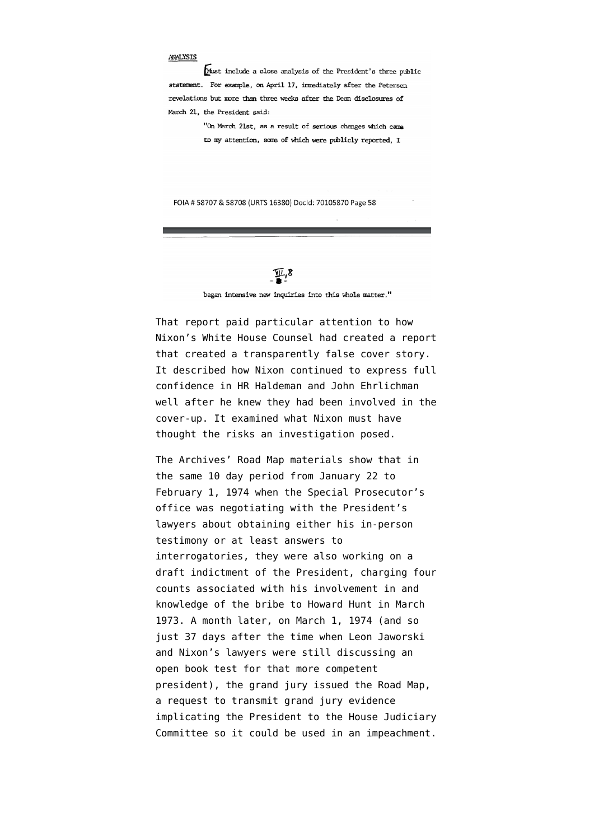#### ANALYSIS

Must include a close analysis of the President's three public statement. For example, on April 17, immediately after the Petersen revelations but more than three weeks after the Dean disclosures of March 21, the President said:

> "On March 21st, as a result of serious changes which came to my attention, some of which were publicly reported. I

FOIA # 58707 & 58708 (URTS 16380) Docld: 70105870 Page 58

 $\Psi$ <sup>8</sup>

began intensive new inquiries into this whole matter."

That report paid particular attention to how Nixon's White House Counsel had created a report that created a transparently false cover story. It described how Nixon continued to express full confidence in HR Haldeman and John Ehrlichman well after he knew they had been involved in the cover-up. It examined what Nixon must have thought the risks an investigation posed.

The Archives' Road Map materials show that in the same 10 day period from January 22 to February 1, 1974 when the [Special Prosecutor's](https://www.archives.gov/files/research/investigations/watergate/roadmap/docid-70105882.pdf) [office was negotiating](https://www.archives.gov/files/research/investigations/watergate/roadmap/docid-70105882.pdf) with the President's lawyers about obtaining either his in-person testimony or at least answers to interrogatories, they were also working on a [draft indictment](https://www.archives.gov/files/research/investigations/watergate/roadmap/docid-70105876.pdf) of the President, charging four counts associated with his involvement in and knowledge of the bribe to Howard Hunt in March 1973. A month later, [on March 1, 1974](https://www.archives.gov/files/research/investigations/watergate/roadmap/docid-70105890.pdf) (and so just 37 days after the time when Leon Jaworski and Nixon's lawyers were still discussing an open book test for that more competent president), the grand jury issued the Road Map, a request to transmit grand jury evidence implicating the President to the House Judiciary Committee so it could be used in an impeachment.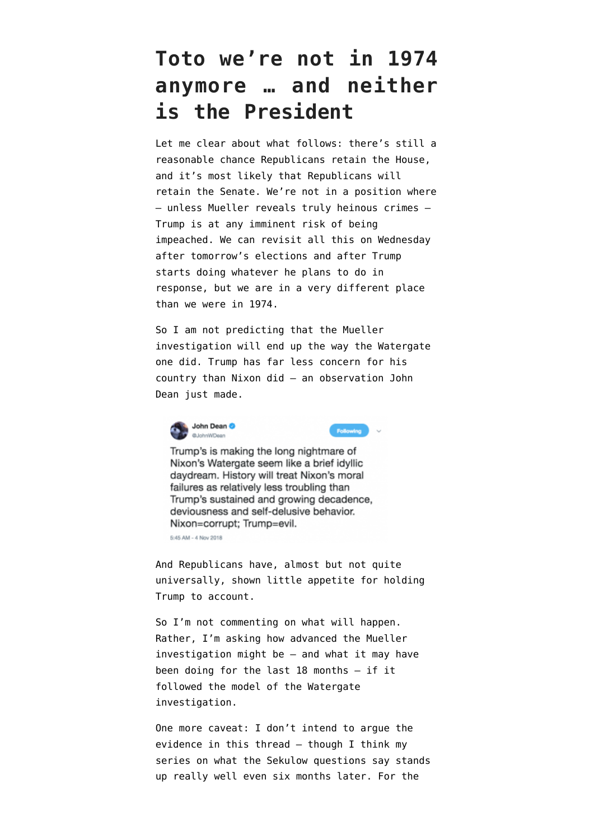#### **Toto we're not in 1974 anymore … and neither is the President**

Let me clear about what follows: there's still a reasonable chance Republicans retain the House, and it's most likely that Republicans will retain the Senate. We're not in a position where — unless Mueller reveals truly heinous crimes — Trump is at any imminent risk of being impeached. We can revisit all this on Wednesday after tomorrow's elections and after Trump starts doing whatever he plans to do in response, but we are in a very different place than we were in 1974.

So I am not predicting that the Mueller investigation will end up the way the Watergate one did. Trump has far less concern for his country than Nixon did — an [observation](https://twitter.com/JohnWDean/status/1058958513022558208) John Dean just made.



Following

Trump's is making the long nightmare of Nixon's Watergate seem like a brief idyllic daydream. History will treat Nixon's moral failures as relatively less troubling than Trump's sustained and growing decadence, deviousness and self-delusive behavior. Nixon=corrupt; Trump=evil.

5:45 AM - 4 Nov 2018

And Republicans have, almost but not quite universally, shown little appetite for holding Trump to account.

So I'm not commenting on what will happen. Rather, I'm asking how advanced the Mueller investigation might be — and what it may have been doing for the last 18 months — if it followed the model of the Watergate investigation.

One more caveat: I don't intend to argue the evidence in this thread — though I think [my](https://www.emptywheel.net/2018/05/02/the-mueller-questions-map-out-cultivation-a-quid-pro-quo-and-a-cover-up-part-one-cultivation/) [series on what the Sekulow questions](https://www.emptywheel.net/2018/05/02/the-mueller-questions-map-out-cultivation-a-quid-pro-quo-and-a-cover-up-part-one-cultivation/) say stands up really well even six months later. For the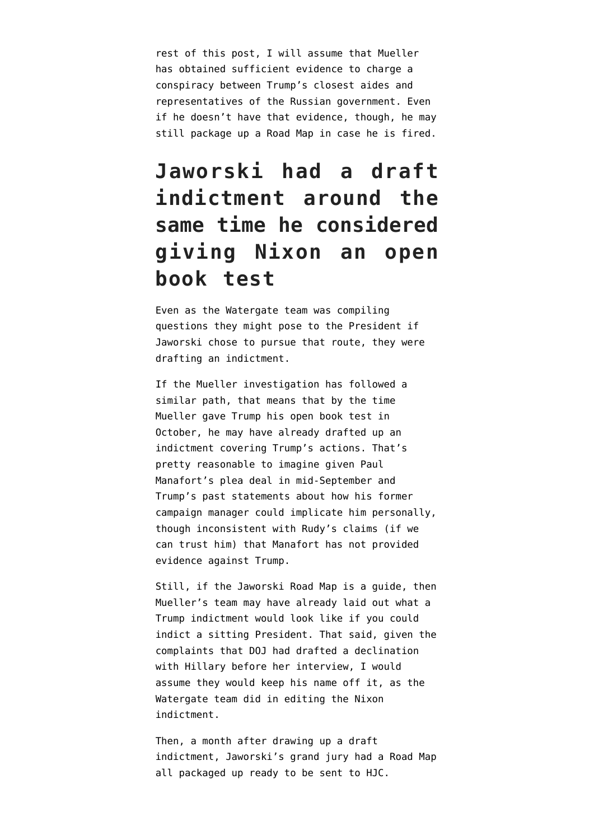rest of this post, I will assume that Mueller has obtained sufficient evidence to charge a conspiracy between Trump's closest aides and representatives of the Russian government. Even if he doesn't have that evidence, though, he may still package up a Road Map in case he is fired.

#### **Jaworski had a draft indictment around the same time he considered giving Nixon an open book test**

Even as the Watergate team was compiling questions they might pose to the President if Jaworski chose to pursue that route, they were drafting an indictment.

If the Mueller investigation has followed a similar path, that means that by the time [Mueller gave Trump his open book test in](https://www.emptywheel.net/2018/10/12/trumps-open-book-test-still-poses-a-big-perjury-risk/) [October,](https://www.emptywheel.net/2018/10/12/trumps-open-book-test-still-poses-a-big-perjury-risk/) he may have already drafted up an indictment covering Trump's actions. That's pretty reasonable to imagine given [Paul](https://www.emptywheel.net/2018/09/14/paul-manaforts-46-million-plea-deal/) [Manafort's plea deal](https://www.emptywheel.net/2018/09/14/paul-manaforts-46-million-plea-deal/) in mid-September and Trump's [past statements](https://www.emptywheel.net/2018/01/30/trump-has-told-friends-and-aides-that-paul-manafort-can-incriminate-him/) about how his former campaign manager could implicate him personally, though [inconsistent with Rudy's claims](https://www.emptywheel.net/2018/10/24/who-is-paying-kevin-downings-bills-to-serve-as-trumps-mole/) (if we can trust him) that Manafort has not provided evidence against Trump.

Still, if the Jaworski Road Map is a guide, then Mueller's team may have already laid out what a Trump indictment would look like if you could indict a sitting President. That said, given the complaints that DOJ had drafted a declination with Hillary before her interview, I would assume they would keep his name off it, as the Watergate team did in editing the Nixon indictment.

Then, a month after drawing up a draft indictment, Jaworski's grand jury had a Road Map all packaged up ready to be sent to HJC.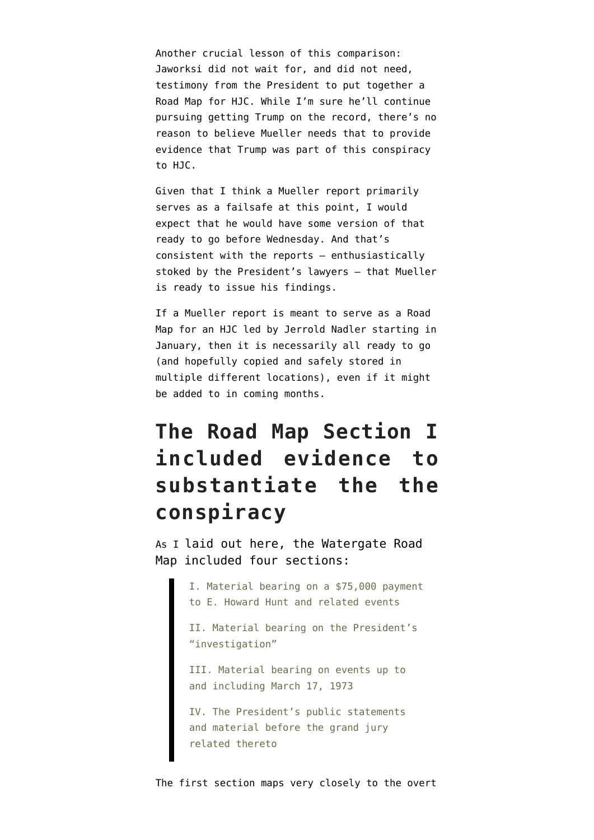Another crucial lesson of this comparison: Jaworksi did not wait for, and did not need, testimony from the President to put together a Road Map for HJC. While I'm sure he'll continue pursuing getting Trump on the record, there's no reason to believe Mueller needs that to provide evidence that Trump was part of this conspiracy to HJC.

Given that I think a Mueller report primarily serves as a failsafe at this point, I would expect that he would have some version of that ready to go before Wednesday. And that's consistent with the [reports](https://www.bloomberg.com/news/articles/2018-10-17/mueller-said-ready-to-deliver-key-findings-in-his-trump-probe) — enthusiastically stoked by the President's lawyers — that Mueller is ready to issue his findings.

If a Mueller report is meant to serve as a Road Map for an HJC led by Jerrold Nadler starting in January, then it is necessarily all ready to go (and hopefully copied and safely stored in multiple different locations), even if it might be added to in coming months.

#### **The Road Map Section I included evidence to substantiate the the conspiracy**

As I [laid out here](https://www.emptywheel.net/2018/11/03/a-roadmap-to-the-nixon-and-or-mueller-roadmap/), the Watergate [Road](https://www.archives.gov/files/research/investigations/watergate/roadmap/docid-70105890.pdf) [Map](https://www.archives.gov/files/research/investigations/watergate/roadmap/docid-70105890.pdf) included four sections:

> I. Material bearing on a \$75,000 payment to E. Howard Hunt and related events

II. Material bearing on the President's "investigation"

III. Material bearing on events up to and including March 17, 1973

IV. The President's public statements and material before the grand jury related thereto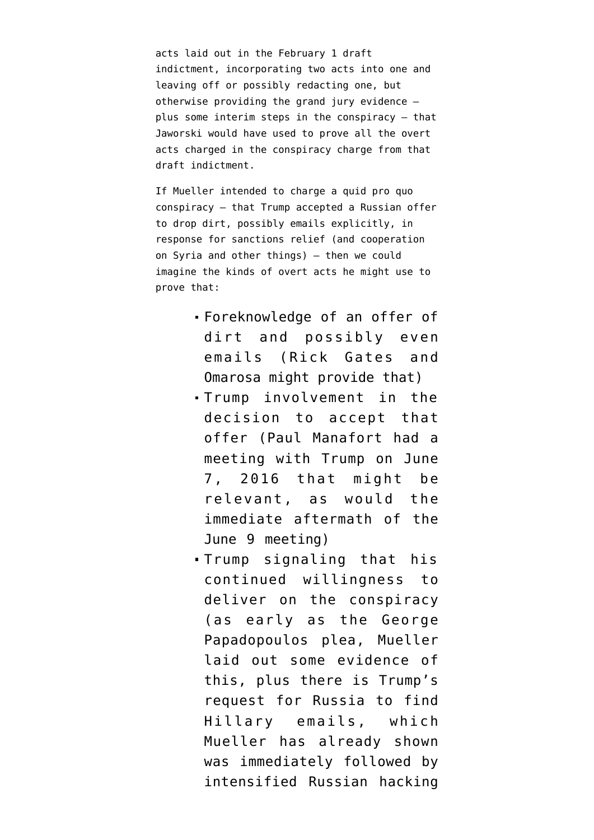acts laid out in the February 1 draft indictment, incorporating two acts into one and leaving off or possibly redacting one, but otherwise providing the grand jury evidence plus some interim steps in the conspiracy — that Jaworski would have used to prove all the overt acts charged in the conspiracy charge from that draft indictment.

If Mueller intended to charge a [quid pro quo](https://www.emptywheel.net/2018/05/02/the-quid-pro-quo-a-putin-meeting-and-election-assistance-in-exchange-for-sanctions-relief/) [conspiracy](https://www.emptywheel.net/2018/05/02/the-quid-pro-quo-a-putin-meeting-and-election-assistance-in-exchange-for-sanctions-relief/) — that Trump accepted a Russian offer to drop dirt, possibly emails explicitly, in response for sanctions relief (and cooperation on Syria and other things) — then we could imagine the kinds of overt acts he might use to prove that:

- Foreknowledge of an offer of dirt and possibly even emails (Rick Gates and Omarosa might provide that)
- Trump involvement in the decision to accept that offer (Paul Manafort had a meeting with Trump on June 7, 2016 that might be relevant, as would the immediate aftermath of the June 9 meeting)
- Trump signaling that his continued willingness to deliver on the conspiracy (as early as the George Papadopoulos plea, Mueller [laid out some evidence](https://www.emptywheel.net/2018/01/01/speech-and-email-release-the-three-public-statement-signals-tied-to-russias-dirt-as-emails/) of this, plus there is Trump's request for Russia to find Hillary emails, which Mueller [has already shown](https://www.justice.gov/file/1080281/download) was immediately followed by intensified Russian hacking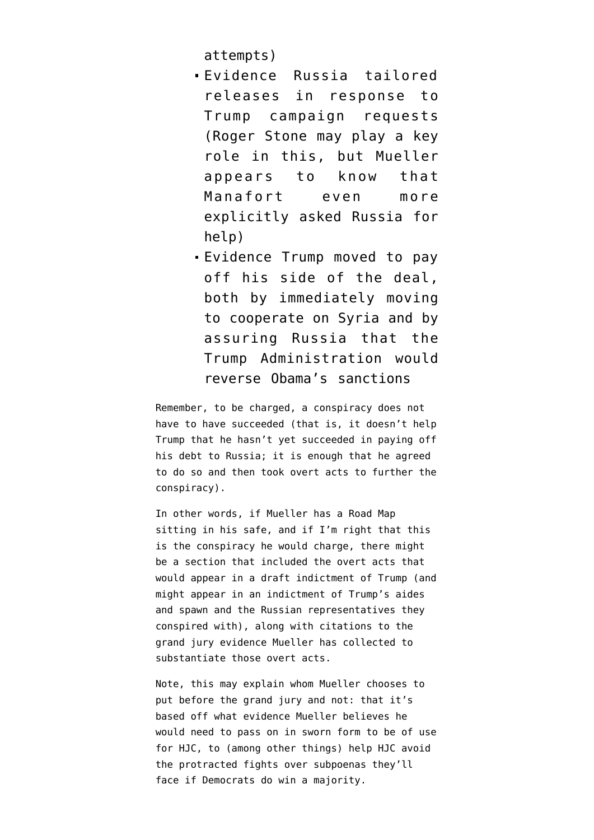attempts)

- Evidence Russia tailored releases in response to Trump campaign requests (Roger Stone may play a key role in this, but Mueller appears to know that Manafort even more explicitly asked Russia for help)
- Evidence Trump moved to pay off his side of the deal, both by [immediately moving](https://www.emptywheel.net/2018/07/03/putting-a-face-mine-to-the-risks-posed-by-gop-games-on-mueller-investigation/) [to cooperate on Syria](https://www.emptywheel.net/2018/07/03/putting-a-face-mine-to-the-risks-posed-by-gop-games-on-mueller-investigation/) and by assuring Russia that the Trump Administration would reverse Obama's sanctions

Remember, to be charged, a conspiracy does not have to have succeeded (that is, it doesn't help Trump that he hasn't yet succeeded in paying off his debt to Russia; it is enough that he agreed to do so and then took overt acts to further the conspiracy).

In other words, if Mueller has a Road Map sitting in his safe, and if I'm right that this is the conspiracy he would charge, there might be a section that included the overt acts that would appear in a draft indictment of Trump (and might appear in an indictment of Trump's aides and spawn and the Russian representatives they conspired with), along with citations to the grand jury evidence Mueller has collected to substantiate those overt acts.

Note, this may explain whom Mueller chooses to put before the grand jury and not: that it's based off what evidence Mueller believes he would need to pass on in sworn form to be of use for HJC, to (among other things) help HJC avoid the protracted fights over subpoenas they'll face if Democrats do win a majority.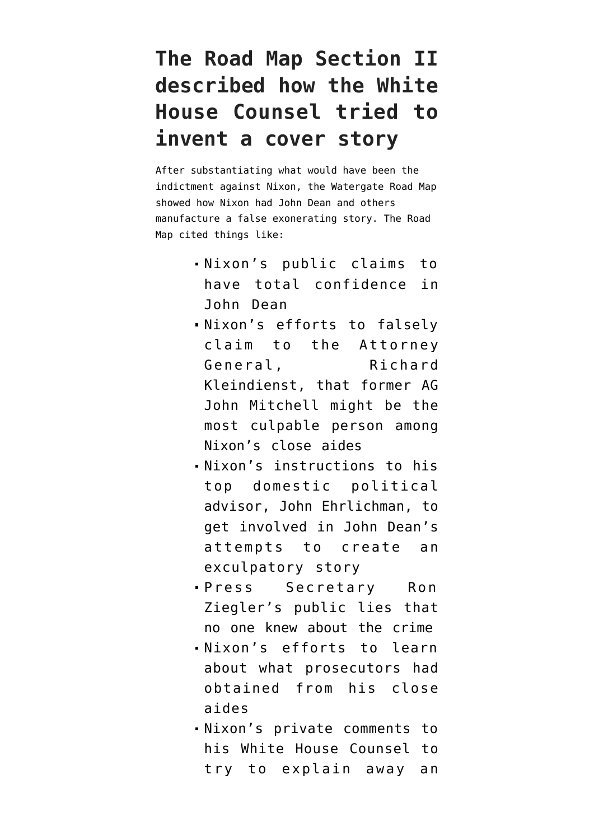#### **The Road Map Section II described how the White House Counsel tried to invent a cover story**

After substantiating what would have been the indictment against Nixon, the Watergate Road Map showed how Nixon had John Dean and others manufacture a false exonerating story. The Road Map cited things like:

- Nixon's public claims to have total confidence in John Dean
- Nixon's efforts to falsely claim to the Attorney General, Richard Kleindienst, that former AG John Mitchell might be the most culpable person among Nixon's close aides
- Nixon's instructions to his top domestic political advisor, John Ehrlichman, to get involved in John Dean's attempts to create an exculpatory story
- Press Secretary Ron Ziegler's public lies that no one knew about the crime
- Nixon's efforts to learn about what prosecutors had obtained from his close aides
- Nixon's private comments to his White House Counsel to try to explain away an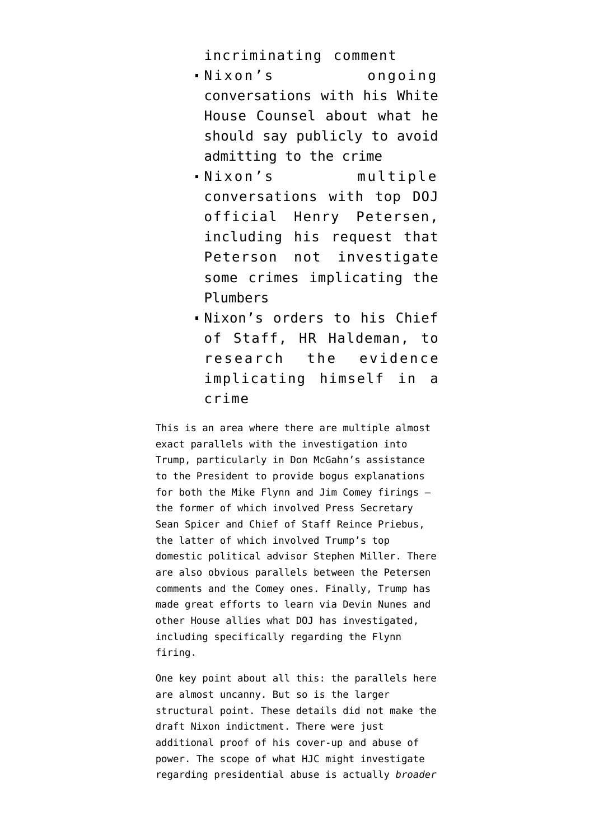incriminating comment

- Nixon's ongoing conversations with his White House Counsel about what he should say publicly to avoid admitting to the crime
- Nixon's multiple conversations with top DOJ official Henry Petersen, including his request that Peterson not investigate some crimes implicating the Plumbers
- Nixon's orders to his Chief of Staff, HR Haldeman, to research the evidence implicating himself in a crime

This is an area where there are multiple almost exact parallels with the investigation into Trump, particularly in Don McGahn's assistance to the President to provide [bogus explanations](https://www.emptywheel.net/2018/08/29/don-mcgahns-bullshit-report-covering-up-the-flynn-firing/) [for both the Mike Flynn](https://www.emptywheel.net/2018/08/29/don-mcgahns-bullshit-report-covering-up-the-flynn-firing/) and Jim Comey firings the former of which involved Press Secretary Sean Spicer and Chief of Staff Reince Priebus, the latter of which involved Trump's top domestic political advisor Stephen Miller. There are also obvious parallels between the Petersen comments and the Comey ones. Finally, Trump has made great efforts to learn via Devin Nunes and other House allies what DOJ has investigated, including specifically regarding the Flynn firing.

One key point about all this: the parallels here are almost uncanny. But so is the larger structural point. These details did not make the draft Nixon indictment. There were just additional proof of his cover-up and abuse of power. The scope of what HJC might investigate regarding presidential abuse is actually *broader*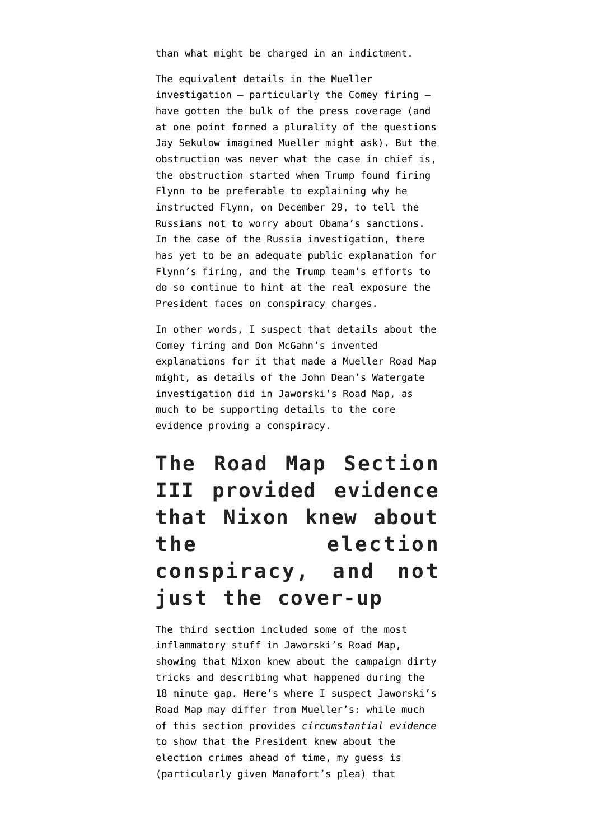than what might be charged in an indictment.

The equivalent details in the Mueller investigation — particularly the Comey firing have gotten the bulk of the press coverage (and at one point formed a plurality of the questions Jay Sekulow imagined Mueller might ask). But the obstruction was never what the case in chief is, the obstruction started when Trump found firing Flynn to be preferable to explaining why he instructed Flynn, on December 29, to tell the Russians not to worry about Obama's sanctions. In the case of the Russia investigation, there has [yet to be an adequate public explanation](https://www.emptywheel.net/2018/06/03/the-giant-holes-in-trumps-mike-flynn-story-point-to-collusion-not-obstruction/) for Flynn's firing, and the Trump team's efforts to do so continue to hint at the real exposure the President faces on conspiracy charges.

In other words, I suspect that details about the Comey firing and Don McGahn's invented explanations for it that made a Mueller Road Map might, as details of the John Dean's Watergate investigation did in Jaworski's Road Map, as much to be supporting details to the core evidence proving a conspiracy.

## **The Road Map Section III provided evidence that Nixon knew about the election conspiracy, and not just the cover-up**

The third section included some of the most inflammatory stuff in Jaworski's Road Map, showing that Nixon knew about the campaign dirty tricks and describing what happened during the [18 minute gap](https://www.washingtonpost.com/news/volokh-conspiracy/wp/2014/06/16/the-missing-18-12-minutes-presidential-destruction-of-incriminating-evidence/). Here's where I suspect Jaworski's Road Map may differ from Mueller's: while much of this section provides *circumstantial evidence* to show that the President knew about the election crimes ahead of time, my guess is (particularly given Manafort's plea) that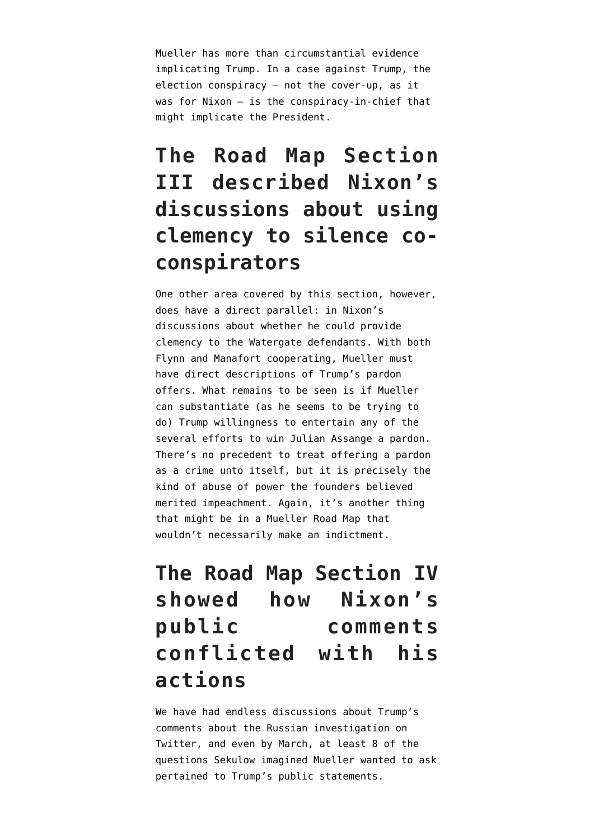Mueller has more than circumstantial evidence implicating Trump. In a case against Trump, the election conspiracy — not the cover-up, as it was for Nixon — is the conspiracy-in-chief that might implicate the President.

## **The Road Map Section III described Nixon's discussions about using clemency to silence coconspirators**

One other area covered by this section, however, does have a direct parallel: in Nixon's discussions about whether he could provide clemency to the Watergate defendants. With both Flynn and Manafort cooperating, Mueller must have direct descriptions of Trump's pardon offers. What remains to be seen is if Mueller can substantiate ([as he seems to be trying to](https://www.emptywheel.net/2018/10/25/mueller-had-learned-by-february-22-that-roger-stone-was-pushing-an-assange-pardon-in-january/) [do\)](https://www.emptywheel.net/2018/10/25/mueller-had-learned-by-february-22-that-roger-stone-was-pushing-an-assange-pardon-in-january/) Trump willingness to entertain any of the several efforts to win Julian Assange a pardon. There's no precedent to treat offering a pardon as a crime unto itself, but it is precisely the kind of abuse of power the founders believed merited impeachment. Again, it's another thing that might be in a Mueller Road Map that wouldn't necessarily make an indictment.

#### **The Road Map Section IV showed how Nixon's public comments conflicted with his actions**

We have had endless discussions about Trump's comments about the Russian investigation on Twitter, and even by March, at least 8 of [the](https://www.emptywheel.net/2018/06/02/what-got-added-to-sekulows-list-further-obstruction-including-considering-of-firing-mueller-and-collusion/) [questions Sekulow imagined Mueller wanted to ask](https://www.emptywheel.net/2018/06/02/what-got-added-to-sekulows-list-further-obstruction-including-considering-of-firing-mueller-and-collusion/) pertained to Trump's public statements.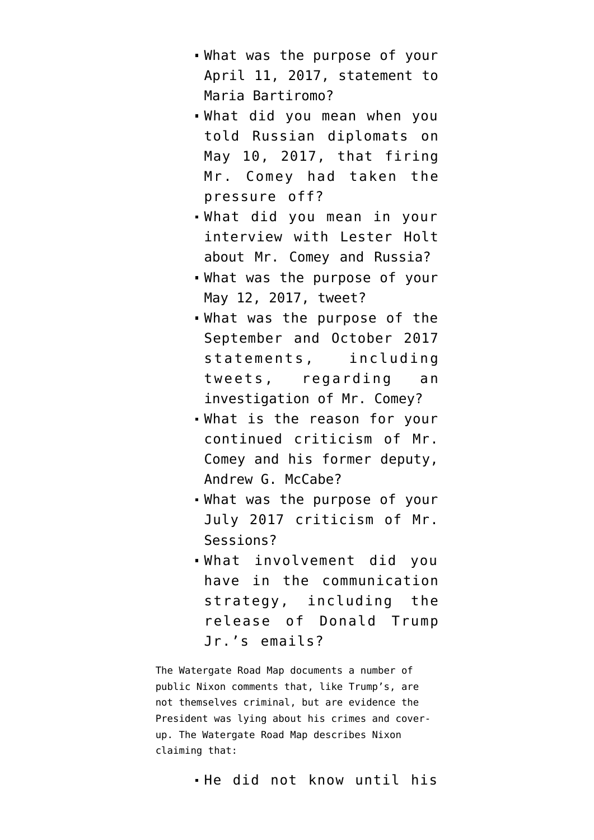- What was the purpose of your April 11, 2017, statement to Maria Bartiromo?
- What did you mean when you told Russian diplomats on May 10, 2017, that firing Mr. Comey had taken the pressure off?
- What did you mean in your interview with Lester Holt about Mr. Comey and Russia?
- What was the purpose of your May 12, 2017, tweet?
- What was the purpose of the September and October 2017 statements, including tweets, regarding an investigation of Mr. Comey?
- What is the reason for your continued criticism of Mr. Comey and his former deputy, Andrew G. McCabe?
- What was the purpose of your July 2017 criticism of Mr. Sessions?
- What involvement did you have in the communication strategy, including the release of Donald Trump Jr.'s emails?

The Watergate Road Map documents a number of public Nixon comments that, like Trump's, are not themselves criminal, but are evidence the President was lying about his crimes and coverup. The Watergate Road Map describes Nixon claiming that: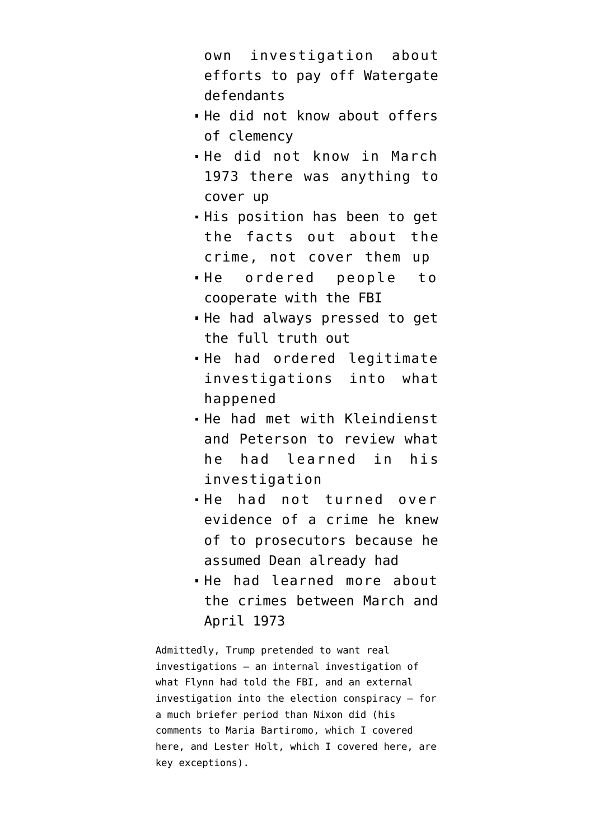own investigation about efforts to pay off Watergate defendants

- He did not know about offers of clemency
- He did not know in March 1973 there was anything to cover up
- His position has been to get the facts out about the crime, not cover them up
- He ordered people to cooperate with the FBI
- He had always pressed to get the full truth out
- He had ordered legitimate investigations into what happened
- He had met with Kleindienst and Peterson to review what he had learned in his investigation
- He had not turned over evidence of a crime he knew of to prosecutors because he assumed Dean already had
- He had learned more about the crimes between March and April 1973

Admittedly, Trump pretended to want real investigations — an internal investigation of what Flynn had told the FBI, and an external investigation into the election conspiracy — for a much briefer period than Nixon did (his comments to [Maria Bartiromo](https://www.washingtonpost.com/news/the-fix/wp/2017/04/12/president-trumps-throughly-confusing-fox-business-interview-annotated/?), which [I covered](https://www.emptywheel.net/2018/05/07/the-sekulow-questions-part-five-attempting-a-cover-up-by-firing-comey/) [here](https://www.emptywheel.net/2018/05/07/the-sekulow-questions-part-five-attempting-a-cover-up-by-firing-comey/), and [Lester Holt](https://www.nbcnews.com/news/us-news/trump-reveals-he-asked-comey-whether-he-was-under-investigation-n757821), which [I covered here](https://www.emptywheel.net/2018/05/10/the-sekulow-questions-part-six-trump-exacerbates-his-woes/), are key exceptions).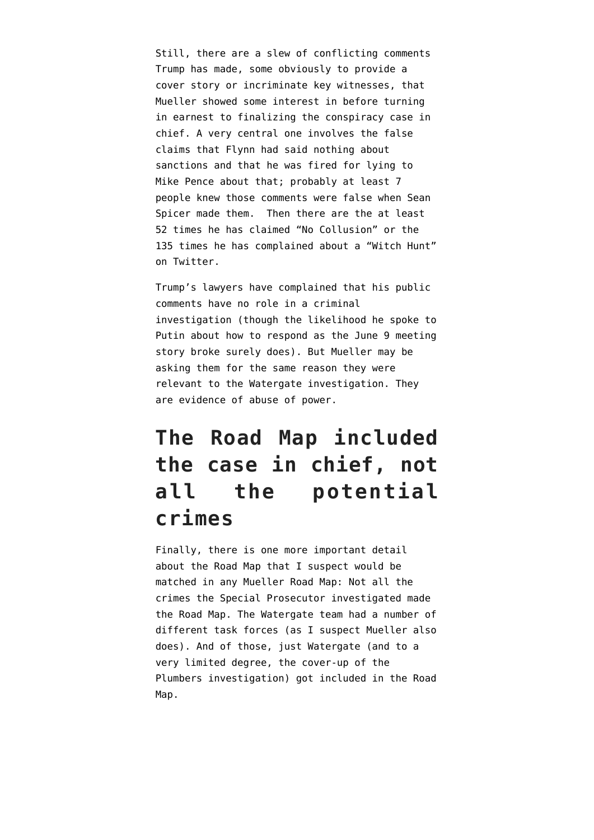Still, there are a slew of conflicting comments Trump has made, some obviously to provide a cover story or incriminate key witnesses, that Mueller showed some interest in before turning in earnest to finalizing the conspiracy case in chief. A very central one involves the false claims that Flynn had said nothing about sanctions and that he was fired for lying to Mike Pence about that; probably at least 7 people knew those comments were false when Sean Spicer made them. Then there are the at least 52 times he has claimed "No Collusion" or the 135 times he has complained about a "Witch Hunt" [on Twitter.](http://www.trumptwitterarchive.com/archive)

Trump's lawyers have complained that his public comments have no role in a criminal investigation (though the likelihood he spoke to Putin about how to respond as the June 9 meeting story broke surely does). But Mueller may be asking them for the same reason they were relevant to the Watergate investigation. They are evidence of abuse of power.

#### **The Road Map included the case in chief, not all the potential crimes**

Finally, there is one more important detail about the Road Map that I suspect would be matched in any Mueller Road Map: Not all the crimes the Special Prosecutor investigated made the Road Map. The Watergate team had a number of different task forces (as I suspect Mueller also does). And of those, just Watergate (and to a very limited degree, the cover-up of the Plumbers investigation) got included in the Road Map.